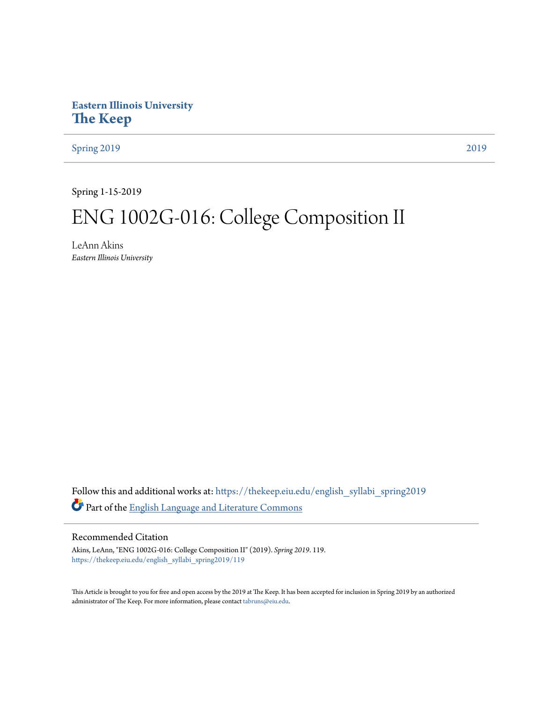# **Eastern Illinois University [The Keep](https://thekeep.eiu.edu?utm_source=thekeep.eiu.edu%2Fenglish_syllabi_spring2019%2F119&utm_medium=PDF&utm_campaign=PDFCoverPages)**

[Spring 2019](https://thekeep.eiu.edu/english_syllabi_spring2019?utm_source=thekeep.eiu.edu%2Fenglish_syllabi_spring2019%2F119&utm_medium=PDF&utm_campaign=PDFCoverPages) [2019](https://thekeep.eiu.edu/english_syllabi2019?utm_source=thekeep.eiu.edu%2Fenglish_syllabi_spring2019%2F119&utm_medium=PDF&utm_campaign=PDFCoverPages)

Spring 1-15-2019

# ENG 1002G-016: College Composition II

LeAnn Akins *Eastern Illinois University*

Follow this and additional works at: [https://thekeep.eiu.edu/english\\_syllabi\\_spring2019](https://thekeep.eiu.edu/english_syllabi_spring2019?utm_source=thekeep.eiu.edu%2Fenglish_syllabi_spring2019%2F119&utm_medium=PDF&utm_campaign=PDFCoverPages) Part of the [English Language and Literature Commons](http://network.bepress.com/hgg/discipline/455?utm_source=thekeep.eiu.edu%2Fenglish_syllabi_spring2019%2F119&utm_medium=PDF&utm_campaign=PDFCoverPages)

# Recommended Citation

Akins, LeAnn, "ENG 1002G-016: College Composition II" (2019). *Spring 2019*. 119. [https://thekeep.eiu.edu/english\\_syllabi\\_spring2019/119](https://thekeep.eiu.edu/english_syllabi_spring2019/119?utm_source=thekeep.eiu.edu%2Fenglish_syllabi_spring2019%2F119&utm_medium=PDF&utm_campaign=PDFCoverPages)

This Article is brought to you for free and open access by the 2019 at The Keep. It has been accepted for inclusion in Spring 2019 by an authorized administrator of The Keep. For more information, please contact [tabruns@eiu.edu.](mailto:tabruns@eiu.edu)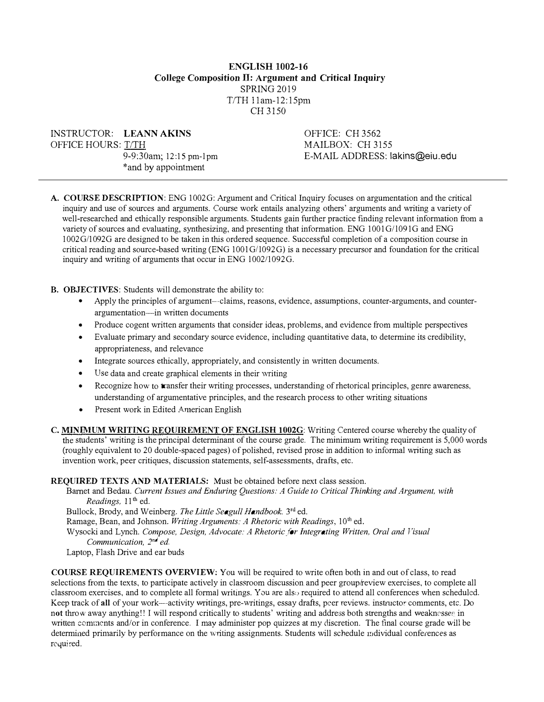# ENGLISH 1002-16 College Composition Il: Argument and Critical Inquiry SPRING 2019  $T/TH$  11am-12:15pm CH 3150

INSTRUCTOR: LEANN AKINS OFFICE HOURS: T/TH

9-9:30am; 12:15 pm-l pm \*and by appointment

OFFICE: CH 3562 MAILBOX: CH 3155 E-MAIL ADDRESS: lakins@eiu.edu

A. COURSE DESCRIPTION: ENG 1002G: Argument and Critical Inquiry focuses on argumentation and the critical inquiry and use of sources and arguments. Course work entails analyzing others' arguments and writing a variety of well-researched and ethically responsible arguments. Students gain further practice finding relevant information from a variety of sources and evaluating, synthesizing, and presenting that information. ENG 1001G/1091G and ENG 1002G/1092G are designed to be taken in this ordered sequence. Successful completion of a composition course in critical reading and source-based writing (ENG 1001G/1092G) is a necessary precursor and foundation for the critical inquiry and writing of arguments that occur in ENG l 002/1092G.

- B. OBJECTIVES: Students will demonstrate the ability to:
	- Apply the principles of argument---claims, reasons, evidence, assumptions, counter-arguments, and counterargumentation-in written documents
	- Produce cogent written arguments that consider ideas, problems, and evidence from multiple perspectives
	- Evaluate primary and secondary source evidence, including quantitative data, to determine its credibility, appropriateness, and relevance
	- Integrate sources ethically, appropriately, and consistently in written documents.
	- Use data and create graphical elements in their writing
	- Recognize how to **transfer their writing processes, understanding of rhetorical principles, genre awareness,** understanding of argumentative principles, and the research process to other writing situations
	- Present work in Edited American English
- C. MINIMUM WRITING REQUIREMENT OF ENGLISH 1002G: Writing Centered course whereby the quality of the students' writing is the principal determinant of the course grade. The minimum writing requirement is 5,000 words (roughly equivalent to 20 double-spaced pages) of polished, revised prose in addition to informal writing such as invention work, peer critiques, discussion statements, self-assessments, drafts, etc.

#### REQUIRED TEXTS AND MATERIALS: Must be obtained before next class session.

Barnet and Bedau. Current Issues and Enduring Questions: A Guide to Critical Thinking and Argument, with Readings,  $11<sup>th</sup>$  ed.

Bullock, Brody, and Weinberg. The Little Seagull Handbook. 3rd ed.

Ramage, Bean, and Johnson. Writing Arguments: A Rhetoric with Readings, 10<sup>th</sup> ed.

Wysocki and Lynch. Compose, Design, Advocate: A Rhetoric for Integrating Written, Oral and Visual Communication, 2<sup>nd</sup> ed.

Laptop, Flash Drive and ear buds

COURSE REQUIREMENTS OVERVIEW: You will be required to write often both in and out of class, to read selections from the texts, to participate actively in classroom discussion and peer group/review exercises, to complete all classroom exercises, and to complete all formal writings. You are also required to attend all conferences when scheduled. Keep track of all of your work—activity writings, pre-writings, essay drafts, peer reviews. instructor comments, etc. Do not throw away anything!! I will respond critically to students' writing and address both strengths and weaknesses in written comments and/or in conference. I may administer pop quizzes at my discretion. The final course grade will be determined primarily by performance on the writing assignments. Students will schedule individual conferences as rcquired.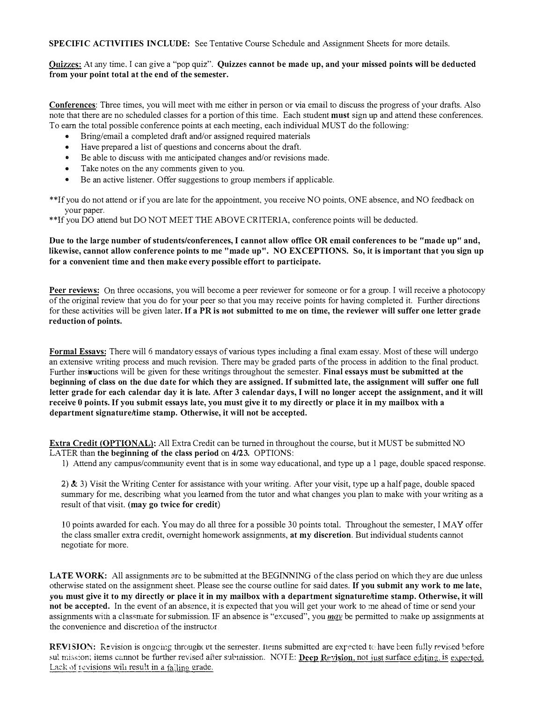SPECIFIC ACTIVITIES INCLUDE: See Tentative Course Schedule and Assignment Sheets for more details.

Quizzes: At any time, I can give a "pop quiz". Quizzes cannot be made up, and your missed points will be deducted from your point total at the end of the semester.

Conferences: Three times, you will meet with me either in person or via email to discuss the progress of your drafts. Also note that there are no scheduled classes for a portion of this time. Each student must sign up and attend these conferences. To earn the total possible conference points at each meeting, each individual MUST do the following:

- Bring/email a completed draft and/or assigned required materials
- Have prepared a list of questions and concerns about the draft.
- Be able to discuss with me anticipated changes and/or revisions made.
- Take notes on the any comments given to you.
- Be an active listener. Offer suggestions to group inembers if applicable.

\*\*lf you do not attend or if you are late for the appointment. you receive NO points. ONE absence, and NO feedback on your paper.

\*\*If you DO attend but DO NOT MEET THE ABOVE CRITERIA, conference points will be deducted.

# Due to the large number of students/conferences, I cannot allow office OR email conferences to be "made up" and, likewise, cannot allow conference points to me "made up". NO EXCEPTIONS. So, it is important that you sign up for a convenient time and then make every possible effort to participate.

Peer reviews: On three occasions, you will become a peer reviewer for someone or for a group. I will receive a photocopy of the original review that you do for your peer so that you may receive points for having completed it. Further directions for these activities will be given later. If a PR is not submitted to me on time, the reviewer will suffer one letter grade reduction of points.

Formal Essavs: There will 6 mandatory essays of various types including a final exam essay. Most of these will undergo an extensive writing process and much revision. There may be graded parts of the process in addition to the final product. Further instructions will be given for these writings throughout the semester. Final essays must be submitted at the beginning of class on the due date for which they are assigned. If submitted late, the assignment will suffer one full letter grade for each calendar day it is late. After 3 calendar days, I will no longer accept the assignment, and it will receive 0 points. If you submit essays late, you must give it to my directly or place it in my mailbox with a department signature/time stamp. Otherwise, it will not be accepted.

Extra Credit (OPTIONAL): All Extra Credit can be turned in throughout the course, but it MUST be submitted NO LATER than the beginning of the class period on 4/23. OPTIONS:

1) Attend any campus/community event that is in some way educational, and type up a 1 page, double spaced response.

2)  $\&$  3) Visit the Writing Center for assistance with your writing. After your visit, type up a half page, double spaced summary for me, describing what you learned from the tutor and what changes you plan to make with your writing as a result of that visit. (may go twice for credit)

10 points awarded for each. You may do all three for a possible 30 points total. Throughout the semester, I MAY offer the class smaller extra credit, overnight homework assignments, at my discretion. But individual students cannot negotiate for more.

LATE WORK: All assignments are to be submitted at the BEGINNING of the class period on which they are due unless otherwise stated on the assignment sheet. Please see the course outline for said dates. If you submit any work to me late, you must give it to my directly or place it in my mailbox with a department signature/time stamp. Otherwise, it will not be accepted. In the event of an absence, it is expected that you will get your work to me ahead of time or send your assignments with a classmate for submission. IF an absence is "excused", you  $\frac{may}{day}$  be permitted to make up assignments at the convenience and discretion of the instructor

REVISJON: Revision is ongoing throughout the semester. Items submitted are expected to have been fully revised before sul mission; items cannot be further revised after submission. NOTE: Deep Revision, not just surface editing, is expected. Lack of revisions will result in a failing grade.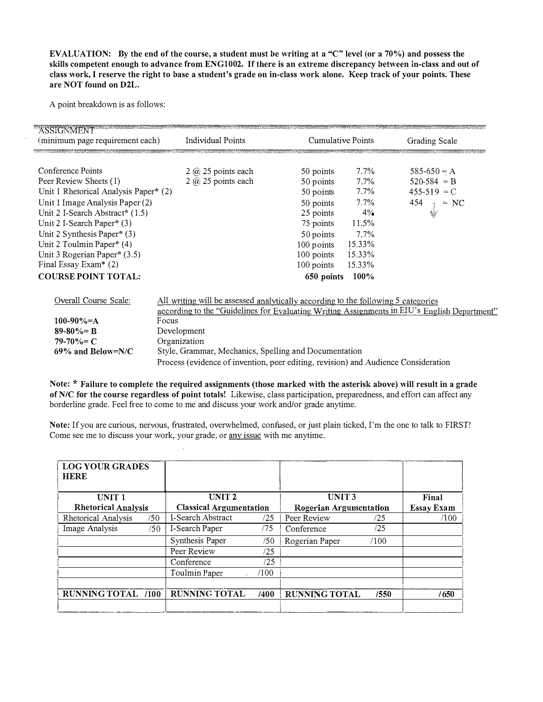EVALUATION: By the end of the course, a student must be writing at a "C" level (or a 70%) and possess the skills competent enough to advance from ENG1002. If there is an extreme discrepancy between in-class and out of class work, I reserve the right to base a student's grade on in-class work alone. Keep track of your points. These are NOT found on D2L.

A point breakdown is as follows:

| <b>ASSIGNMENT</b><br>(minimum page requirement each)                                                                                                                                                                                                                                                                                          | <b>Individual Points</b>                                                                                                                                                                                                                                                                                                                                                 | <b>Cumulative Points</b>                                                                                                                        |                                                                                                          | Grading Scale                                                       |  |
|-----------------------------------------------------------------------------------------------------------------------------------------------------------------------------------------------------------------------------------------------------------------------------------------------------------------------------------------------|--------------------------------------------------------------------------------------------------------------------------------------------------------------------------------------------------------------------------------------------------------------------------------------------------------------------------------------------------------------------------|-------------------------------------------------------------------------------------------------------------------------------------------------|----------------------------------------------------------------------------------------------------------|---------------------------------------------------------------------|--|
| Conference Points<br>Peer Review Sheets (1)<br>Unit 1 Rhetorical Analysis Paper* (2)<br>Unit 1 Image Analysis Paper (2)<br>Unit 2 I-Search Abstract* (1.5)<br>Unit 2 I-Search Paper* (3)<br>Unit 2 Synthesis Paper* $(3)$<br>Unit 2 Toulmin Paper* (4)<br>Unit 3 Rogerian Paper* (3.5)<br>Final Essay Exam* (2)<br><b>COURSE POINT TOTAL:</b> | $2$ $\omega$ 25 points each<br>$2$ $\omega$ 25 points each                                                                                                                                                                                                                                                                                                               | 50 points<br>50 points<br>50 points<br>50 points<br>25 points<br>75 points<br>50 points<br>100 points<br>100 points<br>100 points<br>650 points | $7.7\%$<br>$7.7\%$<br>$7.7\%$<br>$7.7\%$<br>$4\%$<br>11.5%<br>7.7%<br>15.33%<br>15.33%<br>15.33%<br>100% | 585-650 = A<br>$520-584 = B$<br>$455-519 = C$<br>$^{454}$<br>$= NC$ |  |
| Overall Course Scale:<br>100-90%=A<br>$89 - 80\% = B$<br>$79-70\% = C$<br>$69\%$ and Below=N/C                                                                                                                                                                                                                                                | All writing will be assessed analytically according to the following 5 categories<br>according to the "Guidelines for Evaluating Writing Assignments in EIU's English Department"<br>Focus<br>Development<br>Organization<br>Style, Grammar, Mechanics, Spelling and Documentation<br>Process (evidence of invention, peer editing, revision) and Audience Consideration |                                                                                                                                                 |                                                                                                          |                                                                     |  |

Note: \* Failure to complete the required assignments (those marked with the asterisk above) will result in a grade of N/C for the course regardless of point totals! Likewise, class participation, preparedness, and effort can affect any borderline grade. Feel free to come to me and discuss your work and/or grade anytime.

Note: If you are curious, nervous, frustrated, overwhelmed, confused, or just plain ticked, I'm the one to talk to FIRST! Come see ine to discuss your work, your grade, or any issue with me anytime.

| <b>LOG YOUR GRADES</b><br><b>HERE</b> |                                |                               |                      |      |                   |
|---------------------------------------|--------------------------------|-------------------------------|----------------------|------|-------------------|
| UNIT <sub>1</sub>                     | UNIT <sub>2</sub>              |                               | UNIT <sub>3</sub>    |      | Final             |
| <b>Rhetorical Analysis</b>            | <b>Classical Argumentation</b> | <b>Rogerian Argumentation</b> |                      |      | <b>Essay Exam</b> |
| Rhetorical Analysis<br>/50            | I-Search Abstract              | /25                           | Peer Review          | /25  | /100              |
| Image Analysis<br>/50                 | I-Search Paper                 | /75                           | Conference           | /25  |                   |
|                                       | Synthesis Paper                | /50                           | Rogerian Paper       | /100 |                   |
|                                       | Peer Review                    | /25                           |                      |      |                   |
|                                       | Conference                     | /25                           |                      |      |                   |
|                                       | Toulmin Paper                  | /100                          |                      |      |                   |
|                                       |                                |                               |                      |      |                   |
| <b>RUNNING TOTAL /100</b>             | <b>RUNNING TOTAL</b>           | /400                          | <b>RUNNING TOTAL</b> | /550 | /650              |
|                                       |                                |                               |                      |      |                   |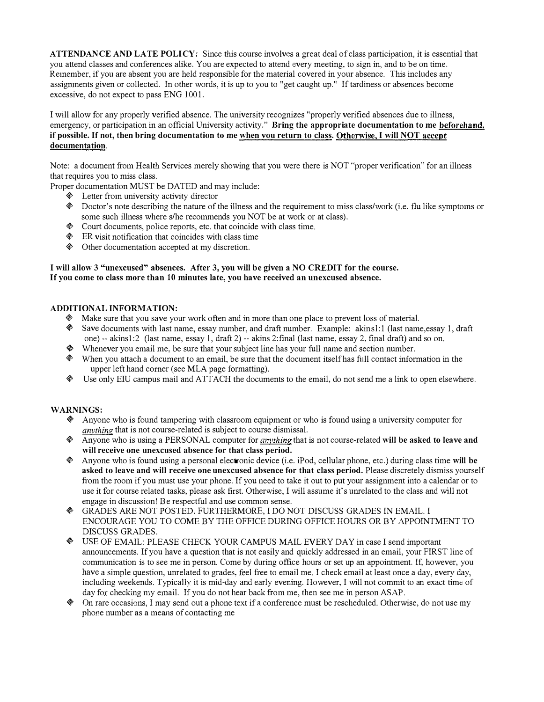ATTENDANCE AND LATE POLICY: Since this course involves a great deal of class participation, it is essential that you attend classes and conferences alike. You are expected to attend every meeting, to sign in. and to be on time. Reinember, if you are absent you are held responsible for the material covered in your absence. This includes any assignments given or collected. In other words, it is up to you to "get caught up." If tardiness or absences become excessive, do not expect to pass ENG 1001.

I will allow for any properly verified absence. 1'he university recognizes "properly verified absences due to illness, emergency, or participation in an official University activity." Bring the appropriate documentation to me beforehand, if possible. If not, then bring documentation to me when you return to class. Otherwise, I will NOT accept documentation.

Note: a document from Health Services merely showing that you were there is NOT "proper verification" for an illness that requires you to miss class.

Proper documentation MUST be DATED and may include:

- $\&$  Letter from university activity director
- $\&$  Doctor's note describing the nature of the illness and the requirement to miss class/work (i.e. flu like symptoms or some such illness where s/he recommends you NOT be at work or at class).
- $\&$  Court documents, police reports, etc. that coincide with class time.
- $\otimes$  ER visit notification that coincides with class time
- $\textcircled{e}$  Other documentation accepted at my discretion.

# I will allow 3 " unexcused" absences. After 3, you will be given a NO CREDIT for the course. If you come to class more than 10 minutes late, you have received an unexcused absence.

# ADDITIONAL INFORMATION:

- $\otimes$  Make sure that you save your work often and in more than one place to prevent loss of material.
- $\bullet$  Save documents with last name, essay number, and draft number. Example: akinsl: I (last name, essay 1, draft one) -- akins1:2 (last name, essay l, draft 2) -- akins 2:final (last name, essay 2, final draft) and so on.
- Whenever you email me, be sure that your subject line has your full name and section number.
- $\&$  When you attach a document to an email, be sure that the document itself has full contact information in the upper left hand corner (see MLA page formatting).
- $\&$  Use only EIU campus mail and ATTACH the documents to the email, do not send me a link to open elsewhere.

# WARNINGS:

- $*$  Anyone who is found tampering with classroom equipment or who is found using a university computer for anvthing that is not course-related is subject to course dismissal.
- $\&$  Anyone who is using a PERSONAL computer for *anything* that is not course-related will be asked to leave and will receive one unexcused absence for that class period.
- $\&$  Anyone who is found using a personal electronic device (i.e. iPod, cellular phone, etc.) during class time will be asked to leave and will receive one unexcused absence for that class period. Please discretely dismiss yourself from the room if you must use your phone. If you need to take it out to put your assignment into a calendar or to use it for course related tasks, please ask first. Otherwise, I will assume it's unrelated to the class and will not engage in discussion! Be respectful and use common sense.
- + GRADES ARE NOT POSTED. FURTHERMORE, I DO NOT DISCUSS GRADES IN EMAIL. I ENCOURAGE YOU TO COME BY THE OFFICE DURING OFFICE HOURS OR BY APPOINTMENT TO DISCUSS GRADES.
- + USE OF EMAIL: PLEASE CHECK YOUR CAMPUS MAIL EVERY DAY in case I send important announcements. If you have a question that is not easily and quickly addressed in an email, your FIRST line of communication is to see me in person. Come by during office hours or set up an appointment. If, however, you have a simple question, unrelated to grades, feel free to email me. I check email at least once a day, every day, including weekends. Typically it is mid-day and early evening. However, I will not commit to an exact time of day for checking my email. If you do not hear back from me, then see me in person ASAP.
- $\bullet$  On rare occasions, I may send out a phone text if a conference must be rescheduled. Otherwise, do not use my phone number as a means of contacting me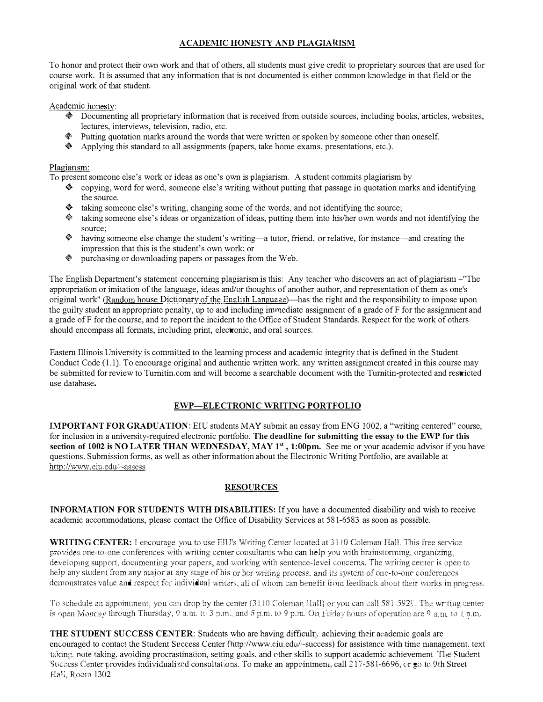# ACADEMIC HONESTY AND PLAGIARISM

To honor and protect their own work and that of others, all students must give credit to proprietary sources that are used for course work. It is assumed that any information that is not documented is either common knowledge in that field or the original work of that student.

#### Academic honesty:

- $\bullet$  Documenting all proprietary information that is received from outside sources, including books, articles, websites, lectures, interviews, television, radio, etc.
- $\Diamond$  Putting quotation marks around the words that were written or spoken by someone other than oneself.
- Applying this standard to all assigmnents (papers, take home exams, presentations, etc.).

# Plagiarism:

To present someone else's work or ideas as one's own is plagiarism. A student commits plagiarism by

- $\bullet$  copying, word for word, someone else's writing without putting that passage in quotation marks and identifying the source.
- taking someone else's writing, changing some of the words, and not identifying the source;
- $*$  taking someone else's ideas or organization of ideas, putting them into his/her own words and not identifying the source;
- $\bullet$  having someone else change the student's writing—a tutor, friend, or relative, for instance—and creating the impression that this is the student's own work; or
- $\Diamond$  purchasing or downloading papers or passages from the Web.

The English Department's statement concerning plagiarism is this: Any teacher who discovers an act of plagiarism - "The appropriation or imitation of the language, ideas and/or thoughts of another author, and representation of them as one's original work" (Random house Dictionary of the English Language)—has the right and the responsibility to impose upon the guilty student an appropriate penalty, up to and including immediate assignment of a grade of F for the assignment and a grade of F for the course, and to report the incident to the Office of Student Standards. Respect for the work of others should encompass all formats, including print, electronic, and oral sources.

Eastern Illinois University is cormnitted to the learning process and academic integrity that is defined in the Student Conduct Code (1.1). To encourage original and authentic written work, any written assignment created in this course may be submitted for review to Turnitin.com and will become a searchable document with the Turnitin-protected and restricted use database.

# EWP-ELECTRONIC WRITING PORTFOLIO

IMPORTANT FOR GRADUATION: EIU students MAY submit an essay from ENG 1002, a "writing centered" course, for inclusion in a university-required electronic portfolio. The deadline for submitting the essay to the EWP for this section of 1002 is NO LATER THAN WEDNESDAY, MAY 1<sup>st</sup>, 1:00pm. See me or your academic advisor if you have questions. Submission forms, as well as other information about the Electronic Writing Portfolio, are available at http://www.eiu.edu/~assess

# **RESOURCES**

INFORMATION FOR STUDENTS WITH DISABILITIES: If you have a documented disability and wish to receive academic accommodations, please contact the Office of Disability Services at 581-6583 as soon as possible.

WRITING CENTER: I encourage you to use EIU's Writing Center located at 3110 Coleman Hall. This free service provides one-to-one conferences with writing center consultants who can help you with brainstorming, organizmg, developing support, documenting your papers, and working with sentence-level concerns. The writing center is open to help any student from any major at any stage of his or her writing process, and its system of one-to-one conferences demonstrates value and respect for individual writers, all of whom can benefit from feedback about their works in progress.

To schedule an appointment, you can drop by the center  $(3110)$  Coleman Hall) or you can call 581-5929. The writing center is open Monday through Thursday, 9 a.m. to 3 p.m., and 6 p.m. to 9 p.m. On Friday hours of operation are 9 a.m. to 1 p.m.

THE STUDENT SUCCESS CENTER: Students who are having difficulty achieving their academic goals are encouraged to contact the Student Success Center (http://www.eiu.edu/~success) for assistance with time nianagement, text taking, note taking, avoiding procrastination, setting goals, and other skills to support academic achievement. The Student Success Center provides individualized consultations. To make an appointment, call  $217-581-6696$ , or go to 9th Street fia!], Room 1302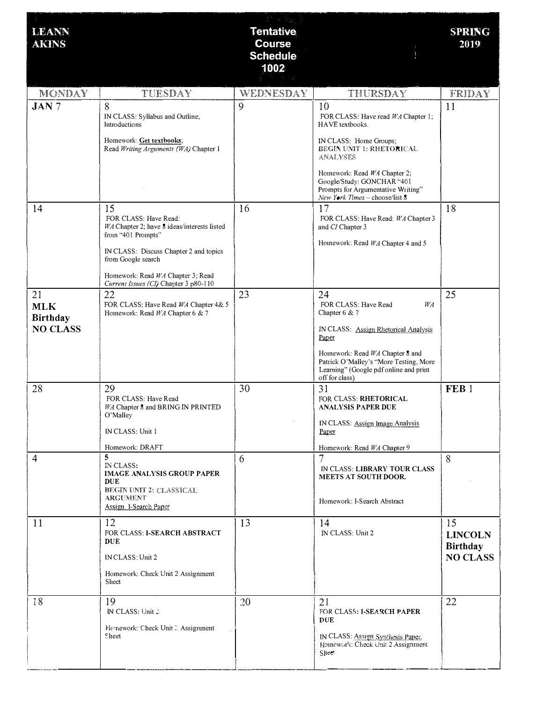| <b>LEANN</b><br><b>AKINS</b>                           |                                                                                                                                                                                                                                                | <b>Tentative</b><br><b>Course</b><br><b>Schedule</b><br>1002 |                                                                                                                                                                                                                                                                            | <b>SPRING</b><br>2019                               |
|--------------------------------------------------------|------------------------------------------------------------------------------------------------------------------------------------------------------------------------------------------------------------------------------------------------|--------------------------------------------------------------|----------------------------------------------------------------------------------------------------------------------------------------------------------------------------------------------------------------------------------------------------------------------------|-----------------------------------------------------|
| <b>MONDAY</b>                                          | TUESDAY                                                                                                                                                                                                                                        | WEDNESDAY                                                    | THURSDAY                                                                                                                                                                                                                                                                   | <b>FRIDAY</b>                                       |
| $JAN$ 7                                                | 8<br>IN CLASS: Syllabus and Outline;<br>Introductions<br>Homework: Get textbooks;<br>Read Writing Arguments (WA) Chapter 1                                                                                                                     | 9                                                            | 10<br>FOR CLASS: Have read WA Chapter 1;<br>HAVE textbooks.<br>IN CLASS: Home Groups:<br>BEGIN UNIT 1: RHETORICAL<br><b>ANALYSES</b><br>Homework: Read WA Chapter 2;<br>Google/Study: GONCHAR "401<br>Prompts for Argumentative Writing"<br>New York Times - choose/list 8 | 11                                                  |
| 14                                                     | 15<br>FOR CLASS: Have Read:<br>WA Chapter 2; have 8 ideas/interests listed<br>from "401 Prompts"<br>IN CLASS: Discuss Chapter 2 and topics<br>from Google search<br>Homework: Read WA Chapter 3; Read<br>Current Issues (CI) Chapter 3 p80-110 | 16                                                           | 17<br>FOR CLASS: Have Read: WA Chapter 3<br>and CI Chapter 3<br>Homework: Read WA Chapter 4 and 5                                                                                                                                                                          | 18                                                  |
| 21<br><b>MLK</b><br><b>Birthday</b><br><b>NO CLASS</b> | 22<br>FOR CLASS: Have Read WA Chapter 4& 5<br>Homework: Read WA Chapter 6 & 7                                                                                                                                                                  | 23                                                           | 24<br>FOR CLASS: Have Read<br>WA<br>Chapter $6 & 7$<br>IN CLASS: Assign Rhetorical Analysis<br>Paper<br>Homework: Read WA Chapter 8 and<br>Patrick O'Malley's "More Testing, More<br>Learning" (Google pdf online and print<br>off for class)                              | 25                                                  |
| 28                                                     | 29<br>FOR CLASS: Have Read<br>WA Chapter 8 and BRING IN PRINTED<br>O'Malley<br>IN CLASS: Unit 1<br>Homework: DRAFT                                                                                                                             | 30                                                           | 31<br>FOR CLASS: RHETORICAL<br><b>ANALYSIS PAPER DUE</b><br><b>IN CLASS: Assign Image Analysis</b><br><b>Paper</b><br>Homework: Read WA Chapter 9                                                                                                                          | FEB <sub>1</sub>                                    |
| $\overline{4}$                                         | $\mathsf{s}$<br><b>IN CLASS:</b><br><b>IMAGE ANALYSIS GROUP PAPER</b><br><b>DUE</b><br>BEGIN UNIT 2: CLASSICAL<br><b>ARGUMENT</b><br>Assign I-Search Paper                                                                                     | 6                                                            | 7<br>IN CLASS: LIBRARY TOUR CLASS<br><b>MEETS AT SOUTH DOOR.</b><br>Homework: I-Search Abstract                                                                                                                                                                            | 8                                                   |
| 11                                                     | 12<br>FOR CLASS: I-SEARCH ABSTRACT<br><b>DUE</b><br>IN CLASS: Unit 2<br>Homework: Check Unit 2 Assignment<br>Sheet                                                                                                                             | 13                                                           | 14<br>IN CLASS: Unit 2                                                                                                                                                                                                                                                     | 15<br><b>LINCOLN</b><br>Birthday<br><b>NO CLASS</b> |
| 18                                                     | 19<br>IN CLASS: Unit 2<br>Homework: Check Unit 2 Assignment<br><b>Sheet</b>                                                                                                                                                                    | 20                                                           | 21<br>FOR CLASS: I-SEARCH PAPER<br>DUE<br>IN CLASS: Assign Synthesis Paper.<br>Homework: Check Unit 2 Assignment<br>Sheet                                                                                                                                                  | 22                                                  |